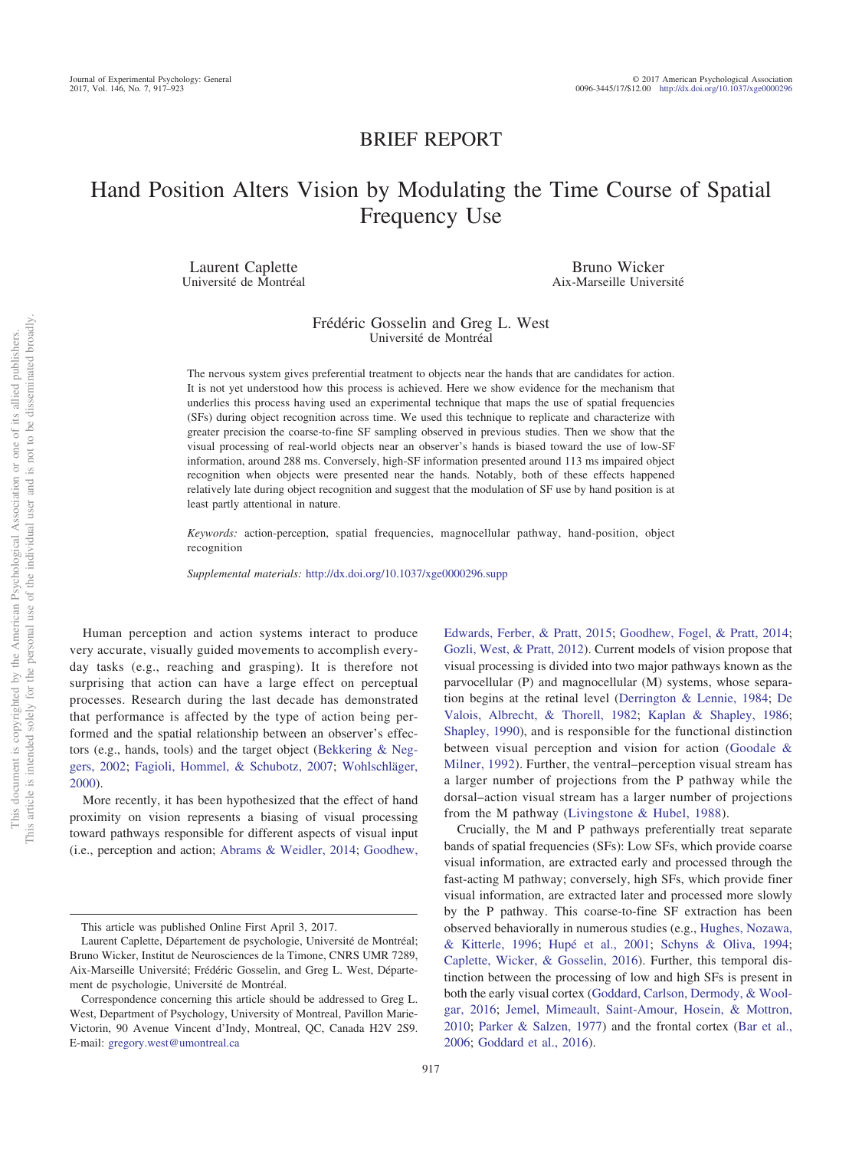## BRIEF REPORT

# Hand Position Alters Vision by Modulating the Time Course of Spatial Frequency Use

Laurent Caplette Université de Montréal

Bruno Wicker Aix-Marseille Université

## Frédéric Gosselin and Greg L. West Université de Montréal

The nervous system gives preferential treatment to objects near the hands that are candidates for action. It is not yet understood how this process is achieved. Here we show evidence for the mechanism that underlies this process having used an experimental technique that maps the use of spatial frequencies (SFs) during object recognition across time. We used this technique to replicate and characterize with greater precision the coarse-to-fine SF sampling observed in previous studies. Then we show that the visual processing of real-world objects near an observer's hands is biased toward the use of low-SF information, around 288 ms. Conversely, high-SF information presented around 113 ms impaired object recognition when objects were presented near the hands. Notably, both of these effects happened relatively late during object recognition and suggest that the modulation of SF use by hand position is at least partly attentional in nature.

*Keywords:* action-perception, spatial frequencies, magnocellular pathway, hand-position, object recognition

*Supplemental materials:* http://dx.doi.org[/10.1037/xge0000296.supp](http://dx.doi.org/10.1037/xge0000296.supp)

Human perception and action systems interact to produce very accurate, visually guided movements to accomplish everyday tasks (e.g., reaching and grasping). It is therefore not surprising that action can have a large effect on perceptual processes. Research during the last decade has demonstrated that performance is affected by the type of action being performed and the spatial relationship between an observer's effectors (e.g., hands, tools) and the target object [\(Bekkering & Neg](#page-5-0)[gers, 2002;](#page-5-0) [Fagioli, Hommel, & Schubotz, 2007;](#page-5-1) [Wohlschläger,](#page-6-0) [2000\)](#page-6-0).

More recently, it has been hypothesized that the effect of hand proximity on vision represents a biasing of visual processing toward pathways responsible for different aspects of visual input (i.e., perception and action; [Abrams & Weidler, 2014;](#page-5-2) [Goodhew,](#page-5-3)

[Edwards, Ferber, & Pratt, 2015;](#page-5-3) [Goodhew, Fogel, & Pratt, 2014;](#page-5-4) [Gozli, West, & Pratt, 2012\)](#page-5-5). Current models of vision propose that visual processing is divided into two major pathways known as the parvocellular (P) and magnocellular (M) systems, whose separation begins at the retinal level [\(Derrington & Lennie, 1984;](#page-5-6) [De](#page-5-7) [Valois, Albrecht, & Thorell, 1982;](#page-5-7) [Kaplan & Shapley, 1986;](#page-6-1) [Shapley, 1990\)](#page-6-2), and is responsible for the functional distinction between visual perception and vision for action [\(Goodale &](#page-5-8) [Milner, 1992\)](#page-5-8). Further, the ventral–perception visual stream has a larger number of projections from the P pathway while the dorsal–action visual stream has a larger number of projections from the M pathway [\(Livingstone & Hubel, 1988\)](#page-6-3).

Crucially, the M and P pathways preferentially treat separate bands of spatial frequencies (SFs): Low SFs, which provide coarse visual information, are extracted early and processed through the fast-acting M pathway; conversely, high SFs, which provide finer visual information, are extracted later and processed more slowly by the P pathway. This coarse-to-fine SF extraction has been observed behaviorally in numerous studies (e.g., [Hughes, Nozawa,](#page-5-9) [& Kitterle, 1996;](#page-5-9) [Hupé et al., 2001;](#page-5-10) [Schyns & Oliva, 1994;](#page-6-4) [Caplette, Wicker, & Gosselin, 2016\)](#page-5-11). Further, this temporal distinction between the processing of low and high SFs is present in both the early visual cortex [\(Goddard, Carlson, Dermody, & Wool](#page-5-12)[gar, 2016;](#page-5-12) [Jemel, Mimeault, Saint-Amour, Hosein, & Mottron,](#page-6-5) [2010;](#page-6-5) [Parker & Salzen, 1977\)](#page-6-6) and the frontal cortex [\(Bar et al.,](#page-5-13) [2006;](#page-5-13) [Goddard et al., 2016\)](#page-5-12).

This article was published Online First April 3, 2017.

Laurent Caplette, Département de psychologie, Université de Montréal; Bruno Wicker, Institut de Neurosciences de la Timone, CNRS UMR 7289, Aix-Marseille Université; Frédéric Gosselin, and Greg L. West, Département de psychologie, Université de Montréal.

Correspondence concerning this article should be addressed to Greg L. West, Department of Psychology, University of Montreal, Pavillon Marie-Victorin, 90 Avenue Vincent d'Indy, Montreal, QC, Canada H2V 2S9. E-mail: [gregory.west@umontreal.ca](mailto:gregory.west@umontreal.ca)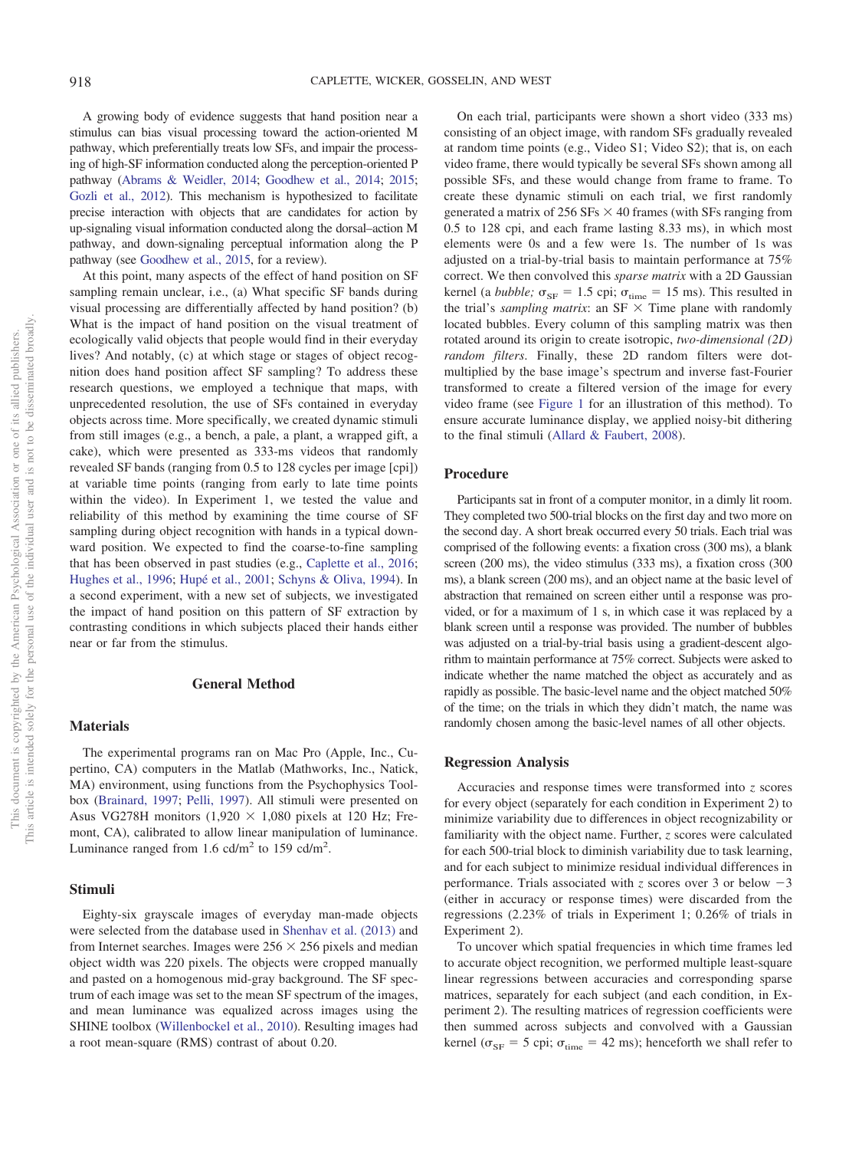A growing body of evidence suggests that hand position near a stimulus can bias visual processing toward the action-oriented M pathway, which preferentially treats low SFs, and impair the processing of high-SF information conducted along the perception-oriented P pathway [\(Abrams & Weidler, 2014;](#page-5-2) [Goodhew et al., 2014;](#page-5-4) [2015;](#page-5-3) [Gozli et al., 2012\)](#page-5-5). This mechanism is hypothesized to facilitate precise interaction with objects that are candidates for action by up-signaling visual information conducted along the dorsal–action M pathway, and down-signaling perceptual information along the P pathway (see [Goodhew et al., 2015,](#page-5-3) for a review).

At this point, many aspects of the effect of hand position on SF sampling remain unclear, i.e., (a) What specific SF bands during visual processing are differentially affected by hand position? (b) What is the impact of hand position on the visual treatment of ecologically valid objects that people would find in their everyday lives? And notably, (c) at which stage or stages of object recognition does hand position affect SF sampling? To address these research questions, we employed a technique that maps, with unprecedented resolution, the use of SFs contained in everyday objects across time. More specifically, we created dynamic stimuli from still images (e.g., a bench, a pale, a plant, a wrapped gift, a cake), which were presented as 333-ms videos that randomly revealed SF bands (ranging from 0.5 to 128 cycles per image [cpi]) at variable time points (ranging from early to late time points within the video). In Experiment 1, we tested the value and reliability of this method by examining the time course of SF sampling during object recognition with hands in a typical downward position. We expected to find the coarse-to-fine sampling that has been observed in past studies (e.g., [Caplette et al., 2016;](#page-5-11) [Hughes et al., 1996;](#page-5-9) [Hupé et al., 2001;](#page-5-10) [Schyns & Oliva, 1994\)](#page-6-4). In a second experiment, with a new set of subjects, we investigated the impact of hand position on this pattern of SF extraction by contrasting conditions in which subjects placed their hands either near or far from the stimulus.

### **General Method**

#### **Materials**

The experimental programs ran on Mac Pro (Apple, Inc., Cupertino, CA) computers in the Matlab (Mathworks, Inc., Natick, MA) environment, using functions from the Psychophysics Toolbox [\(Brainard, 1997;](#page-5-14) [Pelli, 1997\)](#page-6-7). All stimuli were presented on Asus VG278H monitors  $(1,920 \times 1,080)$  pixels at 120 Hz; Fremont, CA), calibrated to allow linear manipulation of luminance. Luminance ranged from  $1.6$  cd/m<sup>2</sup> to  $159$  cd/m<sup>2</sup>.

#### **Stimuli**

Eighty-six grayscale images of everyday man-made objects were selected from the database used in [Shenhav et al. \(2013\)](#page-6-8) and from Internet searches. Images were  $256 \times 256$  pixels and median object width was 220 pixels. The objects were cropped manually and pasted on a homogenous mid-gray background. The SF spectrum of each image was set to the mean SF spectrum of the images, and mean luminance was equalized across images using the SHINE toolbox [\(Willenbockel et al., 2010\)](#page-6-9). Resulting images had a root mean-square (RMS) contrast of about 0.20.

On each trial, participants were shown a short video (333 ms) consisting of an object image, with random SFs gradually revealed at random time points (e.g., Video S1; Video S2); that is, on each video frame, there would typically be several SFs shown among all possible SFs, and these would change from frame to frame. To create these dynamic stimuli on each trial, we first randomly generated a matrix of  $256$  SFs  $\times$  40 frames (with SFs ranging from 0.5 to 128 cpi, and each frame lasting 8.33 ms), in which most elements were 0s and a few were 1s. The number of 1s was adjusted on a trial-by-trial basis to maintain performance at 75% correct. We then convolved this *sparse matrix* with a 2D Gaussian kernel (a *bubble*;  $\sigma_{SF} = 1.5$  cpi;  $\sigma_{time} = 15$  ms). This resulted in the trial's *sampling matrix*: an  $SF \times Time$  plane with randomly located bubbles. Every column of this sampling matrix was then rotated around its origin to create isotropic, *two-dimensional (2D) random filters*. Finally, these 2D random filters were dotmultiplied by the base image's spectrum and inverse fast-Fourier transformed to create a filtered version of the image for every video frame (see [Figure 1](#page-2-0) for an illustration of this method). To ensure accurate luminance display, we applied noisy-bit dithering to the final stimuli [\(Allard & Faubert, 2008\)](#page-5-15).

#### **Procedure**

Participants sat in front of a computer monitor, in a dimly lit room. They completed two 500-trial blocks on the first day and two more on the second day. A short break occurred every 50 trials. Each trial was comprised of the following events: a fixation cross (300 ms), a blank screen (200 ms), the video stimulus (333 ms), a fixation cross (300 ms), a blank screen (200 ms), and an object name at the basic level of abstraction that remained on screen either until a response was provided, or for a maximum of 1 s, in which case it was replaced by a blank screen until a response was provided. The number of bubbles was adjusted on a trial-by-trial basis using a gradient-descent algorithm to maintain performance at 75% correct. Subjects were asked to indicate whether the name matched the object as accurately and as rapidly as possible. The basic-level name and the object matched 50% of the time; on the trials in which they didn't match, the name was randomly chosen among the basic-level names of all other objects.

#### **Regression Analysis**

Accuracies and response times were transformed into *z* scores for every object (separately for each condition in Experiment 2) to minimize variability due to differences in object recognizability or familiarity with the object name. Further, *z* scores were calculated for each 500-trial block to diminish variability due to task learning, and for each subject to minimize residual individual differences in performance. Trials associated with *z* scores over 3 or below  $-3$ (either in accuracy or response times) were discarded from the regressions (2.23% of trials in Experiment 1; 0.26% of trials in Experiment 2).

To uncover which spatial frequencies in which time frames led to accurate object recognition, we performed multiple least-square linear regressions between accuracies and corresponding sparse matrices, separately for each subject (and each condition, in Experiment 2). The resulting matrices of regression coefficients were then summed across subjects and convolved with a Gaussian kernel ( $\sigma_{SF}$  = 5 cpi;  $\sigma_{time}$  = 42 ms); henceforth we shall refer to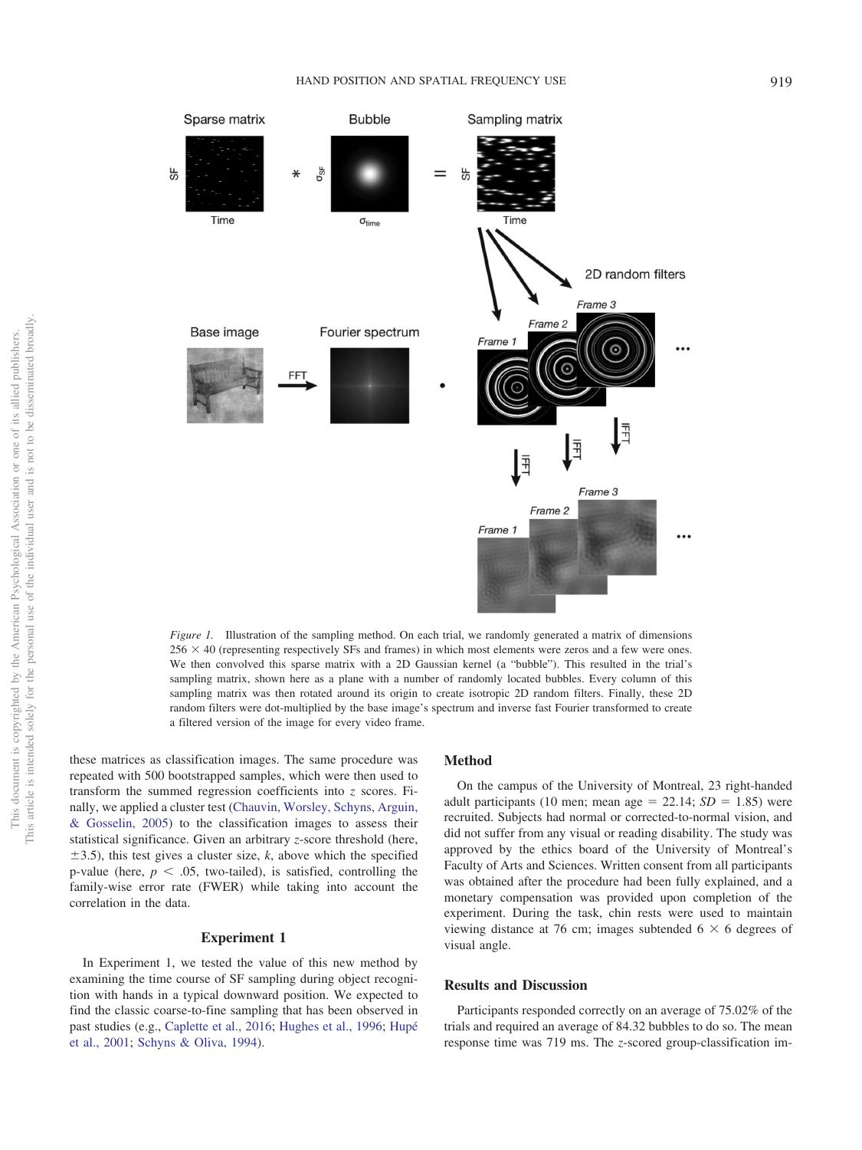

<span id="page-2-0"></span>*Figure 1.* Illustration of the sampling method. On each trial, we randomly generated a matrix of dimensions  $256 \times 40$  (representing respectively SFs and frames) in which most elements were zeros and a few were ones. We then convolved this sparse matrix with a 2D Gaussian kernel (a "bubble"). This resulted in the trial's sampling matrix, shown here as a plane with a number of randomly located bubbles. Every column of this sampling matrix was then rotated around its origin to create isotropic 2D random filters. Finally, these 2D random filters were dot-multiplied by the base image's spectrum and inverse fast Fourier transformed to create a filtered version of the image for every video frame.

these matrices as classification images. The same procedure was repeated with 500 bootstrapped samples, which were then used to transform the summed regression coefficients into *z* scores. Finally, we applied a cluster test [\(Chauvin, Worsley, Schyns, Arguin,](#page-5-16) [& Gosselin, 2005\)](#page-5-16) to the classification images to assess their statistical significance. Given an arbitrary *z*-score threshold (here,  $\pm$ 3.5), this test gives a cluster size, *k*, above which the specified p-value (here,  $p < .05$ , two-tailed), is satisfied, controlling the family-wise error rate (FWER) while taking into account the correlation in the data.

#### **Experiment 1**

In Experiment 1, we tested the value of this new method by examining the time course of SF sampling during object recognition with hands in a typical downward position. We expected to find the classic coarse-to-fine sampling that has been observed in past studies (e.g., [Caplette et al., 2016;](#page-5-11) [Hughes et al., 1996;](#page-5-9) [Hupé](#page-5-10) [et al., 2001;](#page-5-10) [Schyns & Oliva, 1994\)](#page-6-4).

## **Method**

On the campus of the University of Montreal, 23 right-handed adult participants (10 men; mean age  $= 22.14$ ;  $SD = 1.85$ ) were recruited. Subjects had normal or corrected-to-normal vision, and did not suffer from any visual or reading disability. The study was approved by the ethics board of the University of Montreal's Faculty of Arts and Sciences. Written consent from all participants was obtained after the procedure had been fully explained, and a monetary compensation was provided upon completion of the experiment. During the task, chin rests were used to maintain viewing distance at 76 cm; images subtended  $6 \times 6$  degrees of visual angle.

#### **Results and Discussion**

Participants responded correctly on an average of 75.02% of the trials and required an average of 84.32 bubbles to do so. The mean response time was 719 ms. The *z*-scored group-classification im-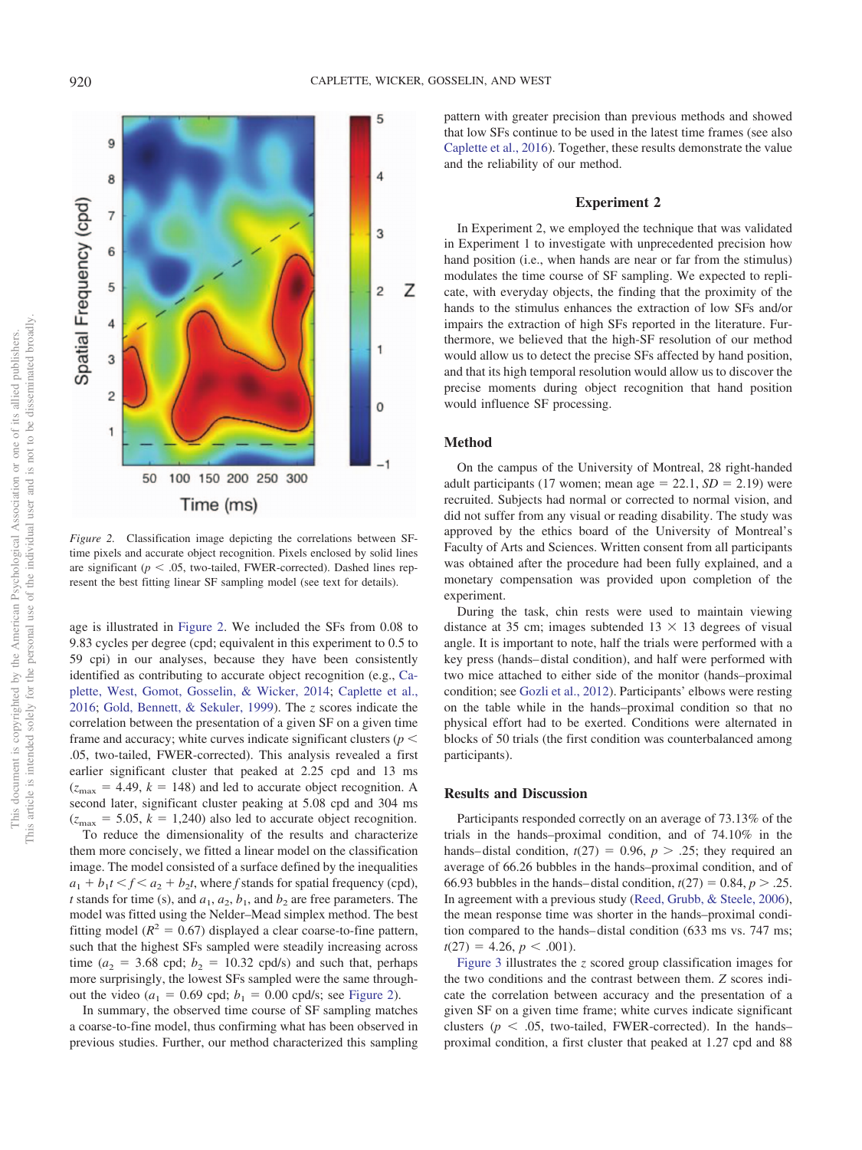

<span id="page-3-0"></span>*Figure 2.* Classification image depicting the correlations between SFtime pixels and accurate object recognition. Pixels enclosed by solid lines are significant ( $p < .05$ , two-tailed, FWER-corrected). Dashed lines represent the best fitting linear SF sampling model (see text for details).

age is illustrated in [Figure 2.](#page-3-0) We included the SFs from 0.08 to 9.83 cycles per degree (cpd; equivalent in this experiment to 0.5 to 59 cpi) in our analyses, because they have been consistently identified as contributing to accurate object recognition (e.g., [Ca](#page-5-17)[plette, West, Gomot, Gosselin, & Wicker, 2014;](#page-5-17) [Caplette et al.,](#page-5-11) [2016;](#page-5-11) [Gold, Bennett, & Sekuler, 1999\)](#page-5-18). The *z* scores indicate the correlation between the presentation of a given SF on a given time frame and accuracy; white curves indicate significant clusters ( $p <$ .05, two-tailed, FWER-corrected). This analysis revealed a first earlier significant cluster that peaked at 2.25 cpd and 13 ms  $(z<sub>max</sub> = 4.49, k = 148)$  and led to accurate object recognition. A second later, significant cluster peaking at 5.08 cpd and 304 ms  $(z_{\text{max}} = 5.05, k = 1,240)$  also led to accurate object recognition. To reduce the dimensionality of the results and characterize them more concisely, we fitted a linear model on the classification image. The model consisted of a surface defined by the inequalities  $a_1 + b_1 t \le f \le a_2 + b_2 t$ , where *f* stands for spatial frequency (cpd), *t* stands for time (s), and  $a_1$ ,  $a_2$ ,  $b_1$ , and  $b_2$  are free parameters. The model was fitted using the Nelder–Mead simplex method. The best fitting model ( $R^2 = 0.67$ ) displayed a clear coarse-to-fine pattern, such that the highest SFs sampled were steadily increasing across time ( $a_2$  = 3.68 cpd;  $b_2$  = 10.32 cpd/s) and such that, perhaps more surprisingly, the lowest SFs sampled were the same throughout the video ( $a_1 = 0.69$  cpd;  $b_1 = 0.00$  cpd/s; see [Figure 2\)](#page-3-0).

In summary, the observed time course of SF sampling matches a coarse-to-fine model, thus confirming what has been observed in previous studies. Further, our method characterized this sampling pattern with greater precision than previous methods and showed that low SFs continue to be used in the latest time frames (see also [Caplette et al., 2016\)](#page-5-11). Together, these results demonstrate the value and the reliability of our method.

## **Experiment 2**

In Experiment 2, we employed the technique that was validated in Experiment 1 to investigate with unprecedented precision how hand position (i.e., when hands are near or far from the stimulus) modulates the time course of SF sampling. We expected to replicate, with everyday objects, the finding that the proximity of the hands to the stimulus enhances the extraction of low SFs and/or impairs the extraction of high SFs reported in the literature. Furthermore, we believed that the high-SF resolution of our method would allow us to detect the precise SFs affected by hand position, and that its high temporal resolution would allow us to discover the precise moments during object recognition that hand position would influence SF processing.

## **Method**

On the campus of the University of Montreal, 28 right-handed adult participants (17 women; mean age  $= 22.1$ ,  $SD = 2.19$ ) were recruited. Subjects had normal or corrected to normal vision, and did not suffer from any visual or reading disability. The study was approved by the ethics board of the University of Montreal's Faculty of Arts and Sciences. Written consent from all participants was obtained after the procedure had been fully explained, and a monetary compensation was provided upon completion of the experiment.

During the task, chin rests were used to maintain viewing distance at 35 cm; images subtended  $13 \times 13$  degrees of visual angle. It is important to note, half the trials were performed with a key press (hands– distal condition), and half were performed with two mice attached to either side of the monitor (hands–proximal condition; see [Gozli et al., 2012\)](#page-5-5). Participants' elbows were resting on the table while in the hands–proximal condition so that no physical effort had to be exerted. Conditions were alternated in blocks of 50 trials (the first condition was counterbalanced among participants).

## **Results and Discussion**

Participants responded correctly on an average of 73.13% of the trials in the hands–proximal condition, and of 74.10% in the hands–distal condition,  $t(27) = 0.96$ ,  $p > .25$ ; they required an average of 66.26 bubbles in the hands–proximal condition, and of 66.93 bubbles in the hands–distal condition,  $t(27) = 0.84$ ,  $p > .25$ . In agreement with a previous study [\(Reed, Grubb, & Steele, 2006\)](#page-6-10), the mean response time was shorter in the hands–proximal condition compared to the hands– distal condition (633 ms vs. 747 ms;  $t(27) = 4.26, p < .001$ .

[Figure 3](#page-4-0) illustrates the *z* scored group classification images for the two conditions and the contrast between them. *Z* scores indicate the correlation between accuracy and the presentation of a given SF on a given time frame; white curves indicate significant clusters ( $p < .05$ , two-tailed, FWER-corrected). In the hands– proximal condition, a first cluster that peaked at 1.27 cpd and 88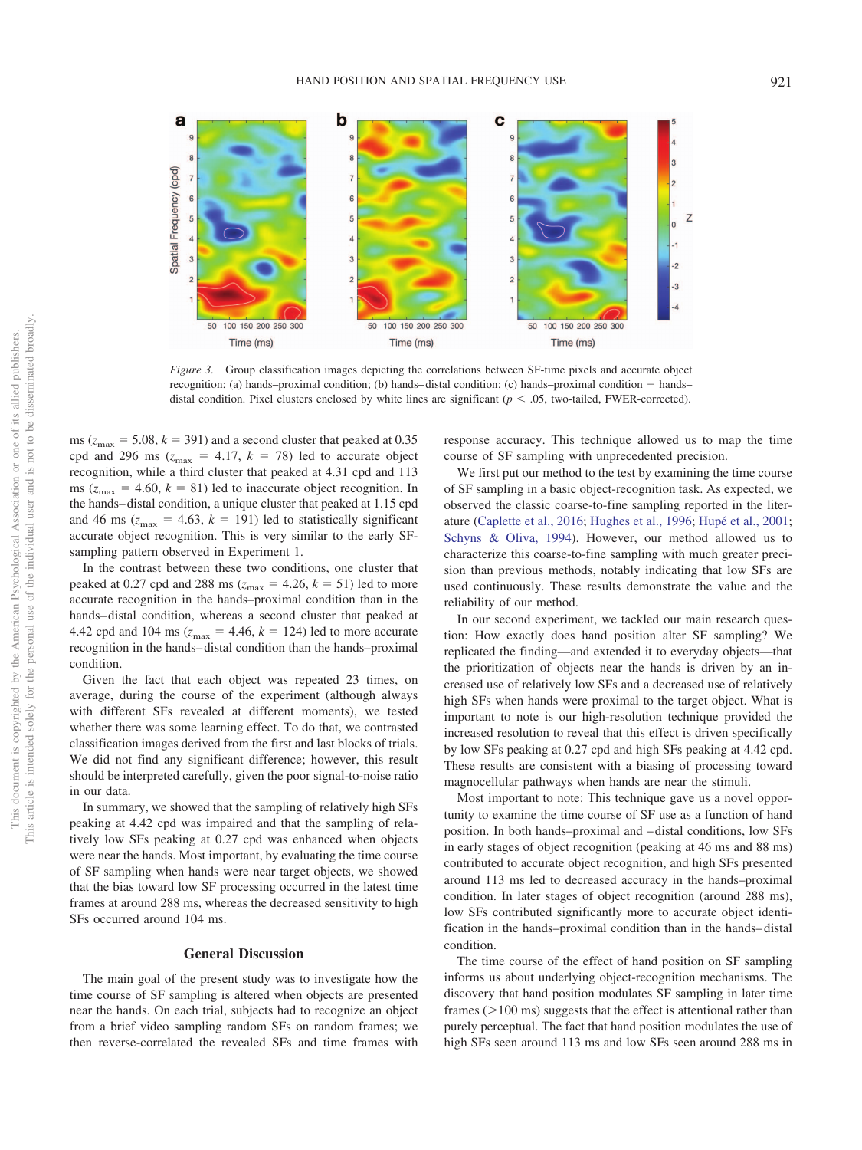

<span id="page-4-0"></span>*Figure 3.* Group classification images depicting the correlations between SF-time pixels and accurate object recognition: (a) hands–proximal condition; (b) hands– distal condition; (c) hands–proximal condition - hands– distal condition. Pixel clusters enclosed by white lines are significant  $(p < .05$ , two-tailed, FWER-corrected).

ms ( $z_{\text{max}}$  = 5.08,  $k$  = 391) and a second cluster that peaked at 0.35 cpd and 296 ms ( $z_{\text{max}}$  = 4.17,  $k = 78$ ) led to accurate object recognition, while a third cluster that peaked at 4.31 cpd and 113 ms ( $z_{\text{max}} = 4.60$ ,  $k = 81$ ) led to inaccurate object recognition. In the hands– distal condition, a unique cluster that peaked at 1.15 cpd and 46 ms ( $z_{\text{max}} = 4.63$ ,  $k = 191$ ) led to statistically significant accurate object recognition. This is very similar to the early SFsampling pattern observed in Experiment 1.

In the contrast between these two conditions, one cluster that peaked at 0.27 cpd and 288 ms ( $z_{\text{max}} = 4.26$ ,  $k = 51$ ) led to more accurate recognition in the hands–proximal condition than in the hands– distal condition, whereas a second cluster that peaked at 4.42 cpd and 104 ms ( $z_{\text{max}} = 4.46$ ,  $k = 124$ ) led to more accurate recognition in the hands– distal condition than the hands–proximal condition.

Given the fact that each object was repeated 23 times, on average, during the course of the experiment (although always with different SFs revealed at different moments), we tested whether there was some learning effect. To do that, we contrasted classification images derived from the first and last blocks of trials. We did not find any significant difference; however, this result should be interpreted carefully, given the poor signal-to-noise ratio in our data.

In summary, we showed that the sampling of relatively high SFs peaking at 4.42 cpd was impaired and that the sampling of relatively low SFs peaking at 0.27 cpd was enhanced when objects were near the hands. Most important, by evaluating the time course of SF sampling when hands were near target objects, we showed that the bias toward low SF processing occurred in the latest time frames at around 288 ms, whereas the decreased sensitivity to high SFs occurred around 104 ms.

#### **General Discussion**

The main goal of the present study was to investigate how the time course of SF sampling is altered when objects are presented near the hands. On each trial, subjects had to recognize an object from a brief video sampling random SFs on random frames; we then reverse-correlated the revealed SFs and time frames with

response accuracy. This technique allowed us to map the time course of SF sampling with unprecedented precision.

We first put our method to the test by examining the time course of SF sampling in a basic object-recognition task. As expected, we observed the classic coarse-to-fine sampling reported in the literature [\(Caplette et al., 2016;](#page-5-11) [Hughes et al., 1996;](#page-5-9) [Hupé et al., 2001;](#page-5-10) [Schyns & Oliva, 1994\)](#page-6-4). However, our method allowed us to characterize this coarse-to-fine sampling with much greater precision than previous methods, notably indicating that low SFs are used continuously. These results demonstrate the value and the reliability of our method.

In our second experiment, we tackled our main research question: How exactly does hand position alter SF sampling? We replicated the finding—and extended it to everyday objects—that the prioritization of objects near the hands is driven by an increased use of relatively low SFs and a decreased use of relatively high SFs when hands were proximal to the target object. What is important to note is our high-resolution technique provided the increased resolution to reveal that this effect is driven specifically by low SFs peaking at 0.27 cpd and high SFs peaking at 4.42 cpd. These results are consistent with a biasing of processing toward magnocellular pathways when hands are near the stimuli.

Most important to note: This technique gave us a novel opportunity to examine the time course of SF use as a function of hand position. In both hands–proximal and – distal conditions, low SFs in early stages of object recognition (peaking at 46 ms and 88 ms) contributed to accurate object recognition, and high SFs presented around 113 ms led to decreased accuracy in the hands–proximal condition. In later stages of object recognition (around 288 ms), low SFs contributed significantly more to accurate object identification in the hands–proximal condition than in the hands– distal condition.

The time course of the effect of hand position on SF sampling informs us about underlying object-recognition mechanisms. The discovery that hand position modulates SF sampling in later time frames  $(>100 \text{ ms})$  suggests that the effect is attentional rather than purely perceptual. The fact that hand position modulates the use of high SFs seen around 113 ms and low SFs seen around 288 ms in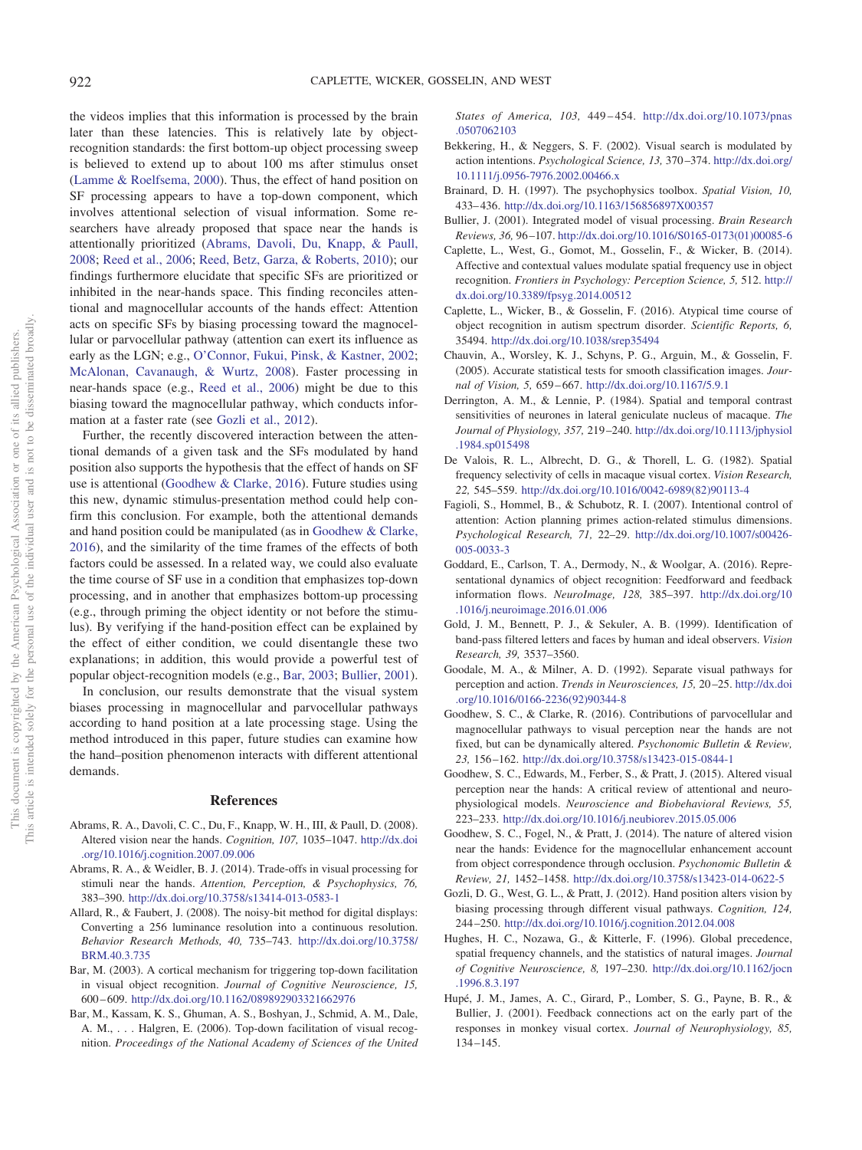922 CAPLETTE, WICKER, GOSSELIN, AND WEST

the videos implies that this information is processed by the brain later than these latencies. This is relatively late by objectrecognition standards: the first bottom-up object processing sweep is believed to extend up to about 100 ms after stimulus onset [\(Lamme & Roelfsema, 2000\)](#page-6-11). Thus, the effect of hand position on SF processing appears to have a top-down component, which involves attentional selection of visual information. Some researchers have already proposed that space near the hands is attentionally prioritized [\(Abrams, Davoli, Du, Knapp, & Paull,](#page-5-19) [2008;](#page-5-19) [Reed et al., 2006;](#page-6-10) [Reed, Betz, Garza, & Roberts, 2010\)](#page-6-12); our findings furthermore elucidate that specific SFs are prioritized or inhibited in the near-hands space. This finding reconciles attentional and magnocellular accounts of the hands effect: Attention acts on specific SFs by biasing processing toward the magnocellular or parvocellular pathway (attention can exert its influence as early as the LGN; e.g., [O'Connor, Fukui, Pinsk, & Kastner, 2002;](#page-6-13) [McAlonan, Cavanaugh, & Wurtz, 2008\)](#page-6-14). Faster processing in near-hands space (e.g., [Reed et al., 2006\)](#page-6-10) might be due to this biasing toward the magnocellular pathway, which conducts information at a faster rate (see [Gozli et al., 2012\)](#page-5-5).

Further, the recently discovered interaction between the attentional demands of a given task and the SFs modulated by hand position also supports the hypothesis that the effect of hands on SF use is attentional [\(Goodhew & Clarke, 2016\)](#page-5-20). Future studies using this new, dynamic stimulus-presentation method could help confirm this conclusion. For example, both the attentional demands and hand position could be manipulated (as in [Goodhew & Clarke,](#page-5-20) [2016\)](#page-5-20), and the similarity of the time frames of the effects of both factors could be assessed. In a related way, we could also evaluate the time course of SF use in a condition that emphasizes top-down processing, and in another that emphasizes bottom-up processing (e.g., through priming the object identity or not before the stimulus). By verifying if the hand-position effect can be explained by the effect of either condition, we could disentangle these two explanations; in addition, this would provide a powerful test of popular object-recognition models (e.g., [Bar, 2003;](#page-5-21) [Bullier, 2001\)](#page-5-22).

In conclusion, our results demonstrate that the visual system biases processing in magnocellular and parvocellular pathways according to hand position at a late processing stage. Using the method introduced in this paper, future studies can examine how the hand–position phenomenon interacts with different attentional demands.

#### **References**

- <span id="page-5-19"></span>Abrams, R. A., Davoli, C. C., Du, F., Knapp, W. H., III, & Paull, D. (2008). Altered vision near the hands. *Cognition, 107,* 1035–1047. [http://dx.doi](http://dx.doi.org/10.1016/j.cognition.2007.09.006) [.org/10.1016/j.cognition.2007.09.006](http://dx.doi.org/10.1016/j.cognition.2007.09.006)
- <span id="page-5-2"></span>Abrams, R. A., & Weidler, B. J. (2014). Trade-offs in visual processing for stimuli near the hands. *Attention, Perception, & Psychophysics, 76,* 383–390. <http://dx.doi.org/10.3758/s13414-013-0583-1>
- <span id="page-5-15"></span>Allard, R., & Faubert, J. (2008). The noisy-bit method for digital displays: Converting a 256 luminance resolution into a continuous resolution. *Behavior Research Methods, 40,* 735–743. [http://dx.doi.org/10.3758/](http://dx.doi.org/10.3758/BRM.40.3.735) [BRM.40.3.735](http://dx.doi.org/10.3758/BRM.40.3.735)
- <span id="page-5-21"></span>Bar, M. (2003). A cortical mechanism for triggering top-down facilitation in visual object recognition. *Journal of Cognitive Neuroscience, 15,* 600 – 609. <http://dx.doi.org/10.1162/089892903321662976>
- <span id="page-5-13"></span>Bar, M., Kassam, K. S., Ghuman, A. S., Boshyan, J., Schmid, A. M., Dale, A. M., . . . Halgren, E. (2006). Top-down facilitation of visual recognition. *Proceedings of the National Academy of Sciences of the United*

*States of America, 103,* 449 – 454. [http://dx.doi.org/10.1073/pnas](http://dx.doi.org/10.1073/pnas.0507062103) [.0507062103](http://dx.doi.org/10.1073/pnas.0507062103)

- <span id="page-5-0"></span>Bekkering, H., & Neggers, S. F. (2002). Visual search is modulated by action intentions. *Psychological Science, 13,* 370 –374. [http://dx.doi.org/](http://dx.doi.org/10.1111/j.0956-7976.2002.00466.x) [10.1111/j.0956-7976.2002.00466.x](http://dx.doi.org/10.1111/j.0956-7976.2002.00466.x)
- <span id="page-5-14"></span>Brainard, D. H. (1997). The psychophysics toolbox. *Spatial Vision, 10,* 433– 436. <http://dx.doi.org/10.1163/156856897X00357>
- <span id="page-5-22"></span>Bullier, J. (2001). Integrated model of visual processing. *Brain Research Reviews, 36,* 96 –107. [http://dx.doi.org/10.1016/S0165-0173\(01\)00085-6](http://dx.doi.org/10.1016/S0165-0173%2801%2900085-6)
- <span id="page-5-17"></span>Caplette, L., West, G., Gomot, M., Gosselin, F., & Wicker, B. (2014). Affective and contextual values modulate spatial frequency use in object recognition. *Frontiers in Psychology: Perception Science, 5,* 512. [http://](http://dx.doi.org/10.3389/fpsyg.2014.00512) [dx.doi.org/10.3389/fpsyg.2014.00512](http://dx.doi.org/10.3389/fpsyg.2014.00512)
- <span id="page-5-11"></span>Caplette, L., Wicker, B., & Gosselin, F. (2016). Atypical time course of object recognition in autism spectrum disorder. *Scientific Reports, 6,* 35494. <http://dx.doi.org/10.1038/srep35494>
- <span id="page-5-16"></span>Chauvin, A., Worsley, K. J., Schyns, P. G., Arguin, M., & Gosselin, F. (2005). Accurate statistical tests for smooth classification images. *Journal of Vision, 5,* 659 – 667. <http://dx.doi.org/10.1167/5.9.1>
- <span id="page-5-6"></span>Derrington, A. M., & Lennie, P. (1984). Spatial and temporal contrast sensitivities of neurones in lateral geniculate nucleus of macaque. *The Journal of Physiology, 357,* 219 –240. [http://dx.doi.org/10.1113/jphysiol](http://dx.doi.org/10.1113/jphysiol.1984.sp015498) [.1984.sp015498](http://dx.doi.org/10.1113/jphysiol.1984.sp015498)
- <span id="page-5-7"></span>De Valois, R. L., Albrecht, D. G., & Thorell, L. G. (1982). Spatial frequency selectivity of cells in macaque visual cortex. *Vision Research, 22,* 545–559. [http://dx.doi.org/10.1016/0042-6989\(82\)90113-4](http://dx.doi.org/10.1016/0042-6989%2882%2990113-4)
- <span id="page-5-1"></span>Fagioli, S., Hommel, B., & Schubotz, R. I. (2007). Intentional control of attention: Action planning primes action-related stimulus dimensions. *Psychological Research, 71,* 22–29. [http://dx.doi.org/10.1007/s00426-](http://dx.doi.org/10.1007/s00426-005-0033-3) [005-0033-3](http://dx.doi.org/10.1007/s00426-005-0033-3)
- <span id="page-5-12"></span>Goddard, E., Carlson, T. A., Dermody, N., & Woolgar, A. (2016). Representational dynamics of object recognition: Feedforward and feedback information flows. *NeuroImage, 128,* 385–397. [http://dx.doi.org/10](http://dx.doi.org/10.1016/j.neuroimage.2016.01.006) [.1016/j.neuroimage.2016.01.006](http://dx.doi.org/10.1016/j.neuroimage.2016.01.006)
- <span id="page-5-18"></span>Gold, J. M., Bennett, P. J., & Sekuler, A. B. (1999). Identification of band-pass filtered letters and faces by human and ideal observers. *Vision Research, 39,* 3537–3560.
- <span id="page-5-8"></span>Goodale, M. A., & Milner, A. D. (1992). Separate visual pathways for perception and action. *Trends in Neurosciences, 15,* 20 –25. [http://dx.doi](http://dx.doi.org/10.1016/0166-2236%2892%2990344-8) [.org/10.1016/0166-2236\(92\)90344-8](http://dx.doi.org/10.1016/0166-2236%2892%2990344-8)
- <span id="page-5-20"></span>Goodhew, S. C., & Clarke, R. (2016). Contributions of parvocellular and magnocellular pathways to visual perception near the hands are not fixed, but can be dynamically altered. *Psychonomic Bulletin & Review, 23,* 156 –162. <http://dx.doi.org/10.3758/s13423-015-0844-1>
- <span id="page-5-3"></span>Goodhew, S. C., Edwards, M., Ferber, S., & Pratt, J. (2015). Altered visual perception near the hands: A critical review of attentional and neurophysiological models. *Neuroscience and Biobehavioral Reviews, 55,* 223–233. <http://dx.doi.org/10.1016/j.neubiorev.2015.05.006>
- <span id="page-5-4"></span>Goodhew, S. C., Fogel, N., & Pratt, J. (2014). The nature of altered vision near the hands: Evidence for the magnocellular enhancement account from object correspondence through occlusion. *Psychonomic Bulletin & Review, 21,* 1452–1458. <http://dx.doi.org/10.3758/s13423-014-0622-5>
- <span id="page-5-5"></span>Gozli, D. G., West, G. L., & Pratt, J. (2012). Hand position alters vision by biasing processing through different visual pathways. *Cognition, 124,* 244 –250. <http://dx.doi.org/10.1016/j.cognition.2012.04.008>
- <span id="page-5-9"></span>Hughes, H. C., Nozawa, G., & Kitterle, F. (1996). Global precedence, spatial frequency channels, and the statistics of natural images. *Journal of Cognitive Neuroscience, 8,* 197–230. [http://dx.doi.org/10.1162/jocn](http://dx.doi.org/10.1162/jocn.1996.8.3.197) [.1996.8.3.197](http://dx.doi.org/10.1162/jocn.1996.8.3.197)
- <span id="page-5-10"></span>Hupé, J. M., James, A. C., Girard, P., Lomber, S. G., Payne, B. R., & Bullier, J. (2001). Feedback connections act on the early part of the responses in monkey visual cortex. *Journal of Neurophysiology, 85,* 134 –145.